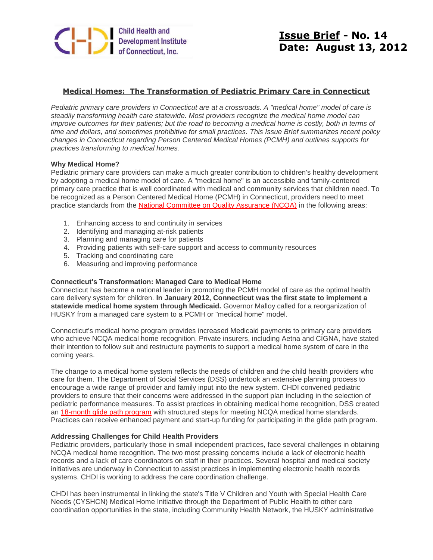

# **Issue Brief - No. 14 Date: August 13, 2012**

# **Medical Homes: The Transformation of Pediatric Primary Care in Connecticut**

*Pediatric primary care providers in Connecticut are at a crossroads. A "medical home" model of care is steadily transforming health care statewide. Most providers recognize the medical home model can improve outcomes for their patients; but the road to becoming a medical home is costly, both in terms of time and dollars, and sometimes prohibitive for small practices. This Issue Brief summarizes recent policy changes in Connecticut regarding Person Centered Medical Homes (PCMH) and outlines supports for practices transforming to medical homes.*

#### **Why Medical Home?**

Pediatric primary care providers can make a much greater contribution to children's healthy development by adopting a medical home model of care. A "medical home" is an accessible and family-centered primary care practice that is well coordinated with medical and community services that children need. To be recognized as a Person Centered Medical Home (PCMH) in Connecticut, providers need to meet practice standards from the [National Committee on Quality Assurance \(NCQA\)](http://www.ncqa.org/?utm_source=Issue+Brief+14+-+Medical+Homes&utm_campaign=Issue+Brief+14+-+Medical+Homes&utm_medium=archive) in the following areas:

- 1. Enhancing access to and continuity in services
- 2. Identifying and managing at-risk patients
- 3. Planning and managing care for patients
- 4. Providing patients with self-care support and access to community resources
- 5. Tracking and coordinating care
- 6. Measuring and improving performance

#### **Connecticut's Transformation: Managed Care to Medical Home**

Connecticut has become a national leader in promoting the PCMH model of care as the optimal health care delivery system for children. **In January 2012, Connecticut was the first state to implement a statewide medical home system through Medicaid.** Governor Malloy called for a reorganization of HUSKY from a managed care system to a PCMH or "medical home" model.

Connecticut's medical home program provides increased Medicaid payments to primary care providers who achieve NCQA medical home recognition. Private insurers, including Aetna and CIGNA, have stated their intention to follow suit and restructure payments to support a medical home system of care in the coming years.

The change to a medical home system reflects the needs of children and the child health providers who care for them. The Department of Social Services (DSS) undertook an extensive planning process to encourage a wide range of provider and family input into the new system. CHDI convened pediatric providers to ensure that their concerns were addressed in the support plan including in the selection of pediatric performance measures. To assist practices in obtaining medical home recognition, DSS created an [18-month glide path program](http://www.huskyhealthct.org/providers/pcmh.html?utm_source=Issue+Brief+14+-+Medical+Homes&utm_campaign=Issue+Brief+14+-+Medical+Homes&utm_medium=archive) with structured steps for meeting NCQA medical home standards. Practices can receive enhanced payment and start-up funding for participating in the glide path program.

#### **Addressing Challenges for Child Health Providers**

Pediatric providers, particularly those in small independent practices, face several challenges in obtaining NCQA medical home recognition. The two most pressing concerns include a lack of electronic health records and a lack of care coordinators on staff in their practices. Several hospital and medical society initiatives are underway in Connecticut to assist practices in implementing electronic health records systems. CHDI is working to address the care coordination challenge.

CHDI has been instrumental in linking the state's Title V Children and Youth with Special Health Care Needs (CYSHCN) Medical Home Initiative through the Department of Public Health to other care coordination opportunities in the state, including Community Health Network, the HUSKY administrative